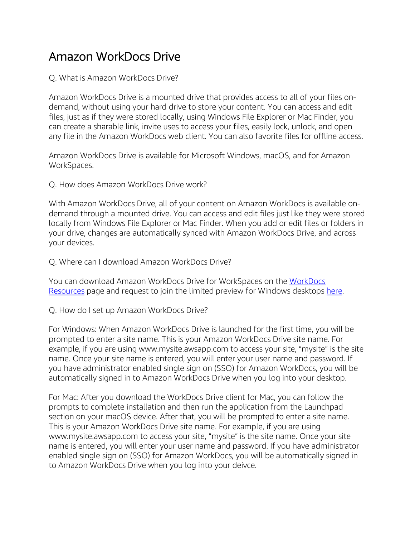## Amazon WorkDocs Drive

Q. What is Amazon WorkDocs Drive?

Amazon WorkDocs Drive is a mounted drive that provides access to all of your files ondemand, without using your hard drive to store your content. You can access and edit files, just as if they were stored locally, using Windows File Explorer or Mac Finder, you can create a sharable link, invite uses to access your files, easily lock, unlock, and open any file in the Amazon WorkDocs web client. You can also favorite files for offline access.

Amazon WorkDocs Drive is available for Microsoft Windows, macOS, and for Amazon WorkSpaces.

Q. How does Amazon WorkDocs Drive work?

With Amazon WorkDocs Drive, all of your content on Amazon WorkDocs is available ondemand through a mounted drive. You can access and edit files just like they were stored locally from Windows File Explorer or Mac Finder. When you add or edit files or folders in your drive, changes are automatically synced with Amazon WorkDocs Drive, and across your devices.

Q. Where can I download Amazon WorkDocs Drive?

You can download Amazon WorkDocs Drive for WorkSpaces on the WorkDocs Resources page and request to join the limited preview for Windows desktops here.

Q. How do I set up Amazon WorkDocs Drive?

For Windows: When Amazon WorkDocs Drive is launched for the first time, you will be prompted to enter a site name. This is your Amazon WorkDocs Drive site name. For example, if you are using www.mysite.awsapp.com to access your site, "mysite" is the site name. Once your site name is entered, you will enter your user name and password. If you have administrator enabled single sign on (SSO) for Amazon WorkDocs, you will be automatically signed in to Amazon WorkDocs Drive when you log into your desktop.

For Mac: After you download the WorkDocs Drive client for Mac, you can follow the prompts to complete installation and then run the application from the Launchpad section on your macOS device. After that, you will be prompted to enter a site name. This is your Amazon WorkDocs Drive site name. For example, if you are using www.mysite.awsapp.com to access your site, "mysite" is the site name. Once your site name is entered, you will enter your user name and password. If you have administrator enabled single sign on (SSO) for Amazon WorkDocs, you will be automatically signed in to Amazon WorkDocs Drive when you log into your deivce.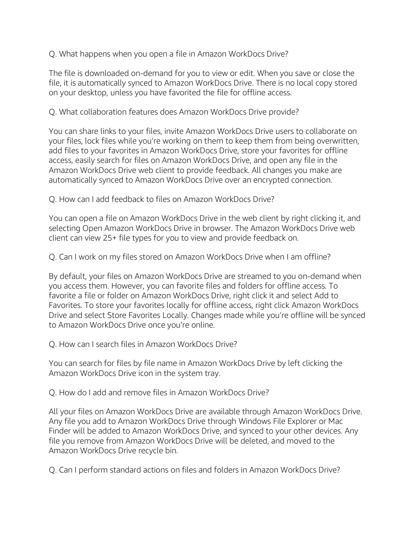Q. What happens when you open a file in Amazon WorkDocs Drive?

The file is downloaded on-demand for you to view or edit. When you save or close the file, it is automatically synced to Amazon WorkDocs Drive. There is no local copy stored on your desktop, unless you have favorited the file for offline access.

Q. What collaboration features does Amazon WorkDocs Drive provide?

You can share links to your files, invite Amazon WorkDocs Drive users to collaborate on your files, lock files while you're working on them to keep them from being overwritten, add files to your favorites in Amazon WorkDocs Drive, store your favorites for offline access, easily search for files on Amazon WorkDocs Drive, and open any file in the Amazon WorkDocs Drive web client to provide feedback. All changes you make are automatically synced to Amazon WorkDocs Drive over an encrypted connection.

Q. How can I add feedback to files on Amazon WorkDocs Drive?

You can open a file on Amazon WorkDocs Drive in the web client by right clicking it, and selecting Open Amazon WorkDocs Drive in browser. The Amazon WorkDocs Drive web client can view 25+ file types for you to view and provide feedback on.

Q. Can I work on my files stored on Amazon WorkDocs Drive when I am offline?

By default, your files on Amazon WorkDocs Drive are streamed to you on-demand when you access them. However, you can favorite files and folders for offline access. To favorite a file or folder on Amazon WorkDocs Drive, right click it and select Add to Favorites. To store your favorites locally for offline access, right click Amazon WorkDocs Drive and select Store Favorites Locally. Changes made while you're offline will be synced to Amazon WorkDocs Drive once you're online.

Q. How can I search files in Amazon WorkDocs Drive?

You can search for files by file name in Amazon WorkDocs Drive by left clicking the Amazon WorkDocs Drive icon in the system tray.

Q. How do I add and remove files in Amazon WorkDocs Drive?

All your files on Amazon WorkDocs Drive are available through Amazon WorkDocs Drive. Any file you add to Amazon WorkDocs Drive through Windows File Explorer or Mac Finder will be added to Amazon WorkDocs Drive, and synced to your other devices. Any file you remove from Amazon WorkDocs Drive will be deleted, and moved to the Amazon WorkDocs Drive recycle bin.

Q. Can I perform standard actions on files and folders in Amazon WorkDocs Drive?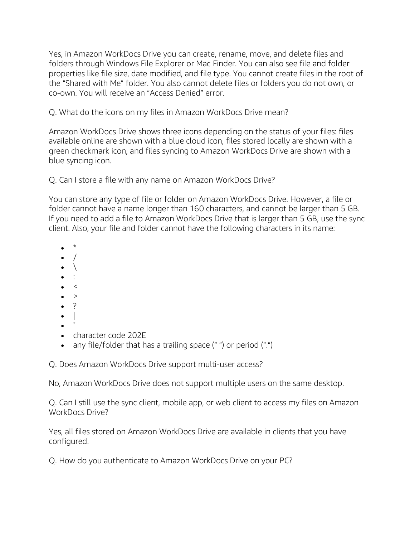Yes, in Amazon WorkDocs Drive you can create, rename, move, and delete files and folders through Windows File Explorer or Mac Finder. You can also see file and folder properties like file size, date modified, and file type. You cannot create files in the root of the "Shared with Me" folder. You also cannot delete files or folders you do not own, or co-own. You will receive an "Access Denied" error.

Q. What do the icons on my files in Amazon WorkDocs Drive mean?

Amazon WorkDocs Drive shows three icons depending on the status of your files: files available online are shown with a blue cloud icon, files stored locally are shown with a green checkmark icon, and files syncing to Amazon WorkDocs Drive are shown with a blue syncing icon.

Q. Can I store a file with any name on Amazon WorkDocs Drive?

You can store any type of file or folder on Amazon WorkDocs Drive. However, a file or folder cannot have a name longer than 160 characters, and cannot be larger than 5 GB. If you need to add a file to Amazon WorkDocs Drive that is larger than 5 GB, use the sync client. Also, your file and folder cannot have the following characters in its name:

- \*
- $\overline{1}$
- $\setminus$
- :
- $\prec$
- >
- ?
- $\bullet$
- "
- character code 202E
- any file/folder that has a trailing space (" ") or period (".")

Q. Does Amazon WorkDocs Drive support multi-user access?

No, Amazon WorkDocs Drive does not support multiple users on the same desktop.

Q. Can I still use the sync client, mobile app, or web client to access my files on Amazon WorkDocs Drive?

Yes, all files stored on Amazon WorkDocs Drive are available in clients that you have configured.

Q. How do you authenticate to Amazon WorkDocs Drive on your PC?